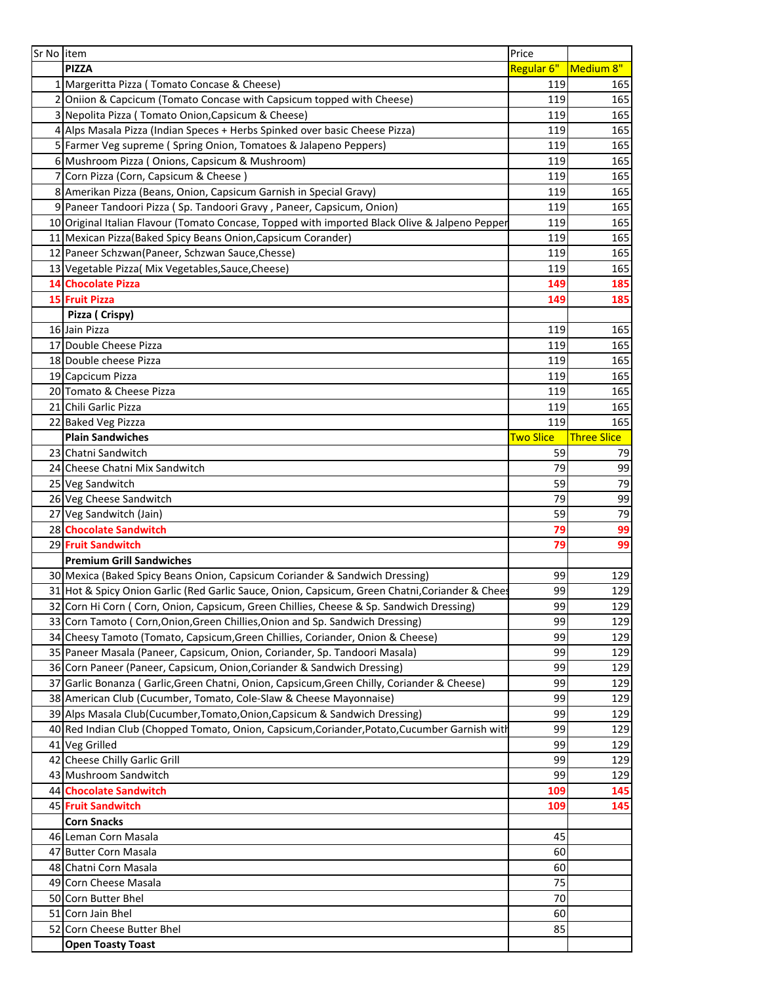| Sr No item |                                                                                                | Price            |                    |
|------------|------------------------------------------------------------------------------------------------|------------------|--------------------|
|            | <b>PIZZA</b>                                                                                   | Regular 6"       | Medium 8"          |
|            | 1 Margeritta Pizza (Tomato Concase & Cheese)                                                   | 119              | 165                |
|            | 2 Oniion & Capcicum (Tomato Concase with Capsicum topped with Cheese)                          | 119              | 165                |
|            | 3 Nepolita Pizza (Tomato Onion, Capsicum & Cheese)                                             | 119              | 165                |
|            | 4 Alps Masala Pizza (Indian Speces + Herbs Spinked over basic Cheese Pizza)                    | 119              | 165                |
|            | 5 Farmer Veg supreme (Spring Onion, Tomatoes & Jalapeno Peppers)                               | 119              | 165                |
|            | 6 Mushroom Pizza (Onions, Capsicum & Mushroom)                                                 | 119              | 165                |
|            | 7 Corn Pizza (Corn, Capsicum & Cheese)                                                         | 119              | 165                |
|            | 8 Amerikan Pizza (Beans, Onion, Capsicum Garnish in Special Gravy)                             | 119              | 165                |
|            | 9 Paneer Tandoori Pizza (Sp. Tandoori Gravy, Paneer, Capsicum, Onion)                          | 119              | 165                |
|            | 10 Original Italian Flavour (Tomato Concase, Topped with imported Black Olive & Jalpeno Pepper | 119              | 165                |
|            | 11 Mexican Pizza (Baked Spicy Beans Onion, Capsicum Corander)                                  | 119              | 165                |
|            | 12 Paneer Schzwan(Paneer, Schzwan Sauce, Chesse)                                               | 119              | 165                |
|            | 13 Vegetable Pizza( Mix Vegetables, Sauce, Cheese)                                             | 119              | 165                |
|            | <b>14 Chocolate Pizza</b>                                                                      | 149              | 185                |
|            | <b>15 Fruit Pizza</b>                                                                          | 149              | 185                |
|            | Pizza (Crispy)                                                                                 |                  |                    |
|            | 16 Jain Pizza                                                                                  | 119              | 165                |
|            | 17 Double Cheese Pizza                                                                         | 119              | 165                |
|            | 18 Double cheese Pizza                                                                         | 119              | 165                |
|            | 19 Capcicum Pizza                                                                              | 119              | 165                |
|            | 20 Tomato & Cheese Pizza                                                                       | 119              | 165                |
|            | 21 Chili Garlic Pizza                                                                          | 119              | 165                |
|            | 22 Baked Veg Pizzza                                                                            | 119              | 165                |
|            | <b>Plain Sandwiches</b>                                                                        | <b>Two Slice</b> | <b>Three Slice</b> |
|            | 23 Chatni Sandwitch                                                                            | 59               | 79                 |
|            | 24 Cheese Chatni Mix Sandwitch                                                                 | 79               | 99                 |
|            | 25 Veg Sandwitch                                                                               | 59               | 79                 |
|            | 26 Veg Cheese Sandwitch                                                                        | 79               | 99                 |
|            | 27 Veg Sandwitch (Jain)                                                                        | 59               | 79                 |
|            | 28 Chocolate Sandwitch                                                                         | 79               | 99                 |
|            | 29 Fruit Sandwitch                                                                             | 79               | 99                 |
|            | <b>Premium Grill Sandwiches</b>                                                                |                  |                    |
|            | 30 Mexica (Baked Spicy Beans Onion, Capsicum Coriander & Sandwich Dressing)                    | 99               | 129                |
|            | 31 Hot & Spicy Onion Garlic (Red Garlic Sauce, Onion, Capsicum, Green Chatni, Coriander & Chee | 99               | 129                |
|            | 32 Corn Hi Corn ( Corn, Onion, Capsicum, Green Chillies, Cheese & Sp. Sandwich Dressing)       | 99               | 129                |
|            | 33 Corn Tamoto (Corn, Onion, Green Chillies, Onion and Sp. Sandwich Dressing)                  | 99               | 129                |
|            | 34 Cheesy Tamoto (Tomato, Capsicum, Green Chillies, Coriander, Onion & Cheese)                 | 99               | 129                |
|            | 35 Paneer Masala (Paneer, Capsicum, Onion, Coriander, Sp. Tandoori Masala)                     | 99               | 129                |
|            | 36 Corn Paneer (Paneer, Capsicum, Onion, Coriander & Sandwich Dressing)                        | 99               | 129                |
|            | 37 Garlic Bonanza (Garlic, Green Chatni, Onion, Capsicum, Green Chilly, Coriander & Cheese)    | 99               | 129                |
|            | 38 American Club (Cucumber, Tomato, Cole-Slaw & Cheese Mayonnaise)                             | 99               | 129                |
|            | 39 Alps Masala Club(Cucumber, Tomato, Onion, Capsicum & Sandwich Dressing)                     | 99               | 129                |
|            | 40 Red Indian Club (Chopped Tomato, Onion, Capsicum, Coriander, Potato, Cucumber Garnish with  | 99               | 129                |
|            | 41 Veg Grilled                                                                                 | 99               | 129                |
|            | 42 Cheese Chilly Garlic Grill                                                                  | 99               | 129                |
|            | 43 Mushroom Sandwitch                                                                          | 99               | 129                |
|            | 44 Chocolate Sandwitch                                                                         | 109              | 145                |
|            | 45 Fruit Sandwitch<br><b>Corn Snacks</b>                                                       | 109              | 145                |
|            | 46 Leman Corn Masala                                                                           | 45               |                    |
|            | 47 Butter Corn Masala                                                                          | 60               |                    |
|            | 48 Chatni Corn Masala                                                                          | 60               |                    |
|            | 49 Corn Cheese Masala                                                                          | 75               |                    |
|            | 50 Corn Butter Bhel                                                                            |                  |                    |
|            |                                                                                                | 70               |                    |
|            | 51 Corn Jain Bhel                                                                              | 60               |                    |
|            | 52 Corn Cheese Butter Bhel                                                                     | 85               |                    |
|            | <b>Open Toasty Toast</b>                                                                       |                  |                    |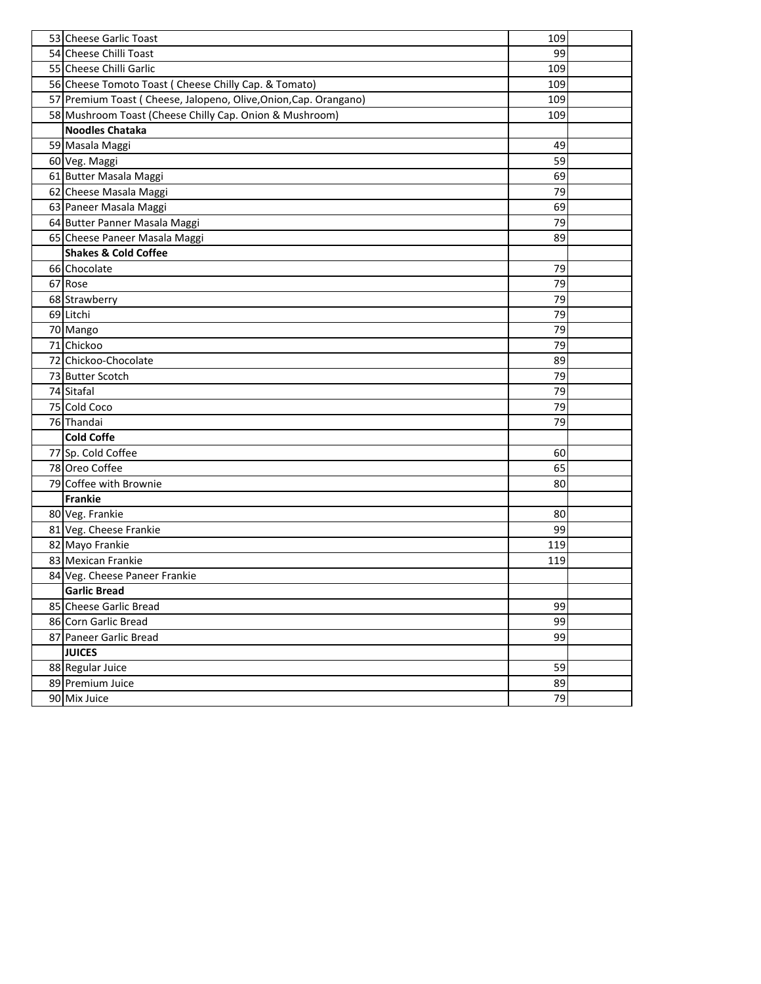| 53 Cheese Garlic Toast                                           | 109 |  |
|------------------------------------------------------------------|-----|--|
| 54 Cheese Chilli Toast                                           | 99  |  |
| 55 Cheese Chilli Garlic                                          | 109 |  |
| 56 Cheese Tomoto Toast ( Cheese Chilly Cap. & Tomato)            | 109 |  |
| 57 Premium Toast (Cheese, Jalopeno, Olive, Onion, Cap. Orangano) | 109 |  |
| 58 Mushroom Toast (Cheese Chilly Cap. Onion & Mushroom)          | 109 |  |
| <b>Noodles Chataka</b>                                           |     |  |
| 59 Masala Maggi                                                  | 49  |  |
| 60 Veg. Maggi                                                    | 59  |  |
| 61 Butter Masala Maggi                                           | 69  |  |
| 62 Cheese Masala Maggi                                           | 79  |  |
| 63 Paneer Masala Maggi                                           | 69  |  |
| 64 Butter Panner Masala Maggi                                    | 79  |  |
| 65 Cheese Paneer Masala Maggi                                    | 89  |  |
| <b>Shakes &amp; Cold Coffee</b>                                  |     |  |
| 66 Chocolate                                                     | 79  |  |
| 67 Rose                                                          | 79  |  |
| 68 Strawberry                                                    | 79  |  |
| 69 Litchi                                                        | 79  |  |
| 70 Mango                                                         | 79  |  |
| 71 Chickoo                                                       | 79  |  |
| 72 Chickoo-Chocolate                                             | 89  |  |
| 73 Butter Scotch                                                 | 79  |  |
| 74 Sitafal                                                       | 79  |  |
| 75 Cold Coco                                                     | 79  |  |
| 76 Thandai                                                       | 79  |  |
| <b>Cold Coffe</b>                                                |     |  |
| 77 Sp. Cold Coffee                                               | 60  |  |
| 78 Oreo Coffee                                                   | 65  |  |
| 79 Coffee with Brownie                                           | 80  |  |
| Frankie                                                          |     |  |
| 80 Veg. Frankie                                                  | 80  |  |
| 81 Veg. Cheese Frankie                                           | 99  |  |
| 82 Mayo Frankie                                                  | 119 |  |
| 83 Mexican Frankie                                               | 119 |  |
| 84 Veg. Cheese Paneer Frankie                                    |     |  |
| <b>Garlic Bread</b>                                              |     |  |
| 85 Cheese Garlic Bread                                           | 99  |  |
| 86 Corn Garlic Bread                                             | 99  |  |
| 87 Paneer Garlic Bread                                           | 99  |  |
| <b>JUICES</b>                                                    |     |  |
| 88 Regular Juice                                                 | 59  |  |
| 89 Premium Juice                                                 | 89  |  |
| 90 Mix Juice                                                     | 79  |  |